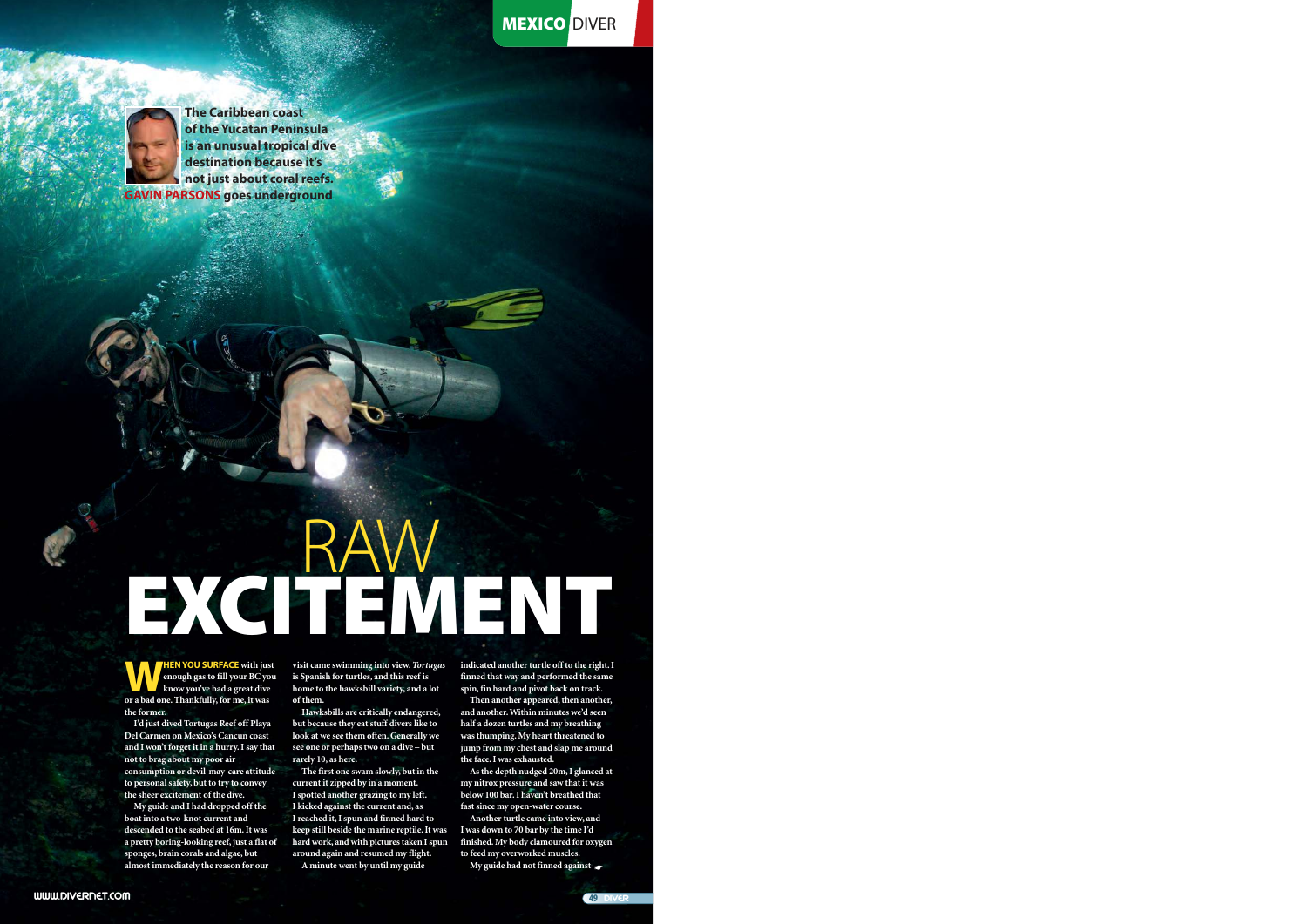**MEXICO DIVER** 



**The Caribbean coast of the Yucatan Peninsula is an unusual tropical dive destination because it's not just about coral reefs. GAVIN PARSONS goes underground**

# RAW EXCITEMENT

**WAN YOU SURFACE** with just enough gas to fill your BC you've had a great diversion a bad one. Thankfully, for me, it was **HEN YOU SURFACE with just enough gas to fill your BC you know you've had a great dive the former.** 

**I'd just dived Tortugas Reef off Playa Del Carmen on Mexico's Cancun coast and I won't forget it in a hurry. I say that not to brag about my poor air consumption or devil-may-care attitude to personal safety, but to try to convey the sheer excitement of the dive.** 

**My guide and I had dropped off the boat into a two-knot current and descended to the seabed at 16m. It was a pretty boring-looking reef, just a flat of sponges, brain corals and algae, but almost immediately the reason for our**

**visit came swimming into view.** *Tortugas* **is Spanish for turtles, and this reef is home to the hawksbill variety, and a lot of them.**

**Hawksbills are critically endangered, but because they eat stuff divers like to look at we see them often. Generally we see one or perhaps two on a dive – but rarely 10, as here.**

**The first one swam slowly, but in the current it zipped by in a moment. I spotted another grazing to my left. I kicked against the current and, as I reached it, I spun and finned hard to keep still beside the marine reptile. It was hard work, and with pictures taken I spun around again and resumed my flight. A minute went by until my guide**

**indicated another turtle off to the right. I finned that way and performed the same spin, fin hard and pivot back on track.** 

**Then another appeared, then another, and another. Within minutes we'd seen half a dozen turtles and my breathing was thumping. My heart threatened to jump from my chest and slap me around the face. I was exhausted.** 

**As the depth nudged 20m, I glanced at my nitrox pressure and saw that it was below 100 bar. I haven't breathed that fast since my open-water course.** 

**Another turtle came into view, and I was down to 70 bar by the time I'd finished. My body clamoured for oxygen to feed my overworked muscles.** 

**My guide had not finned against** ☛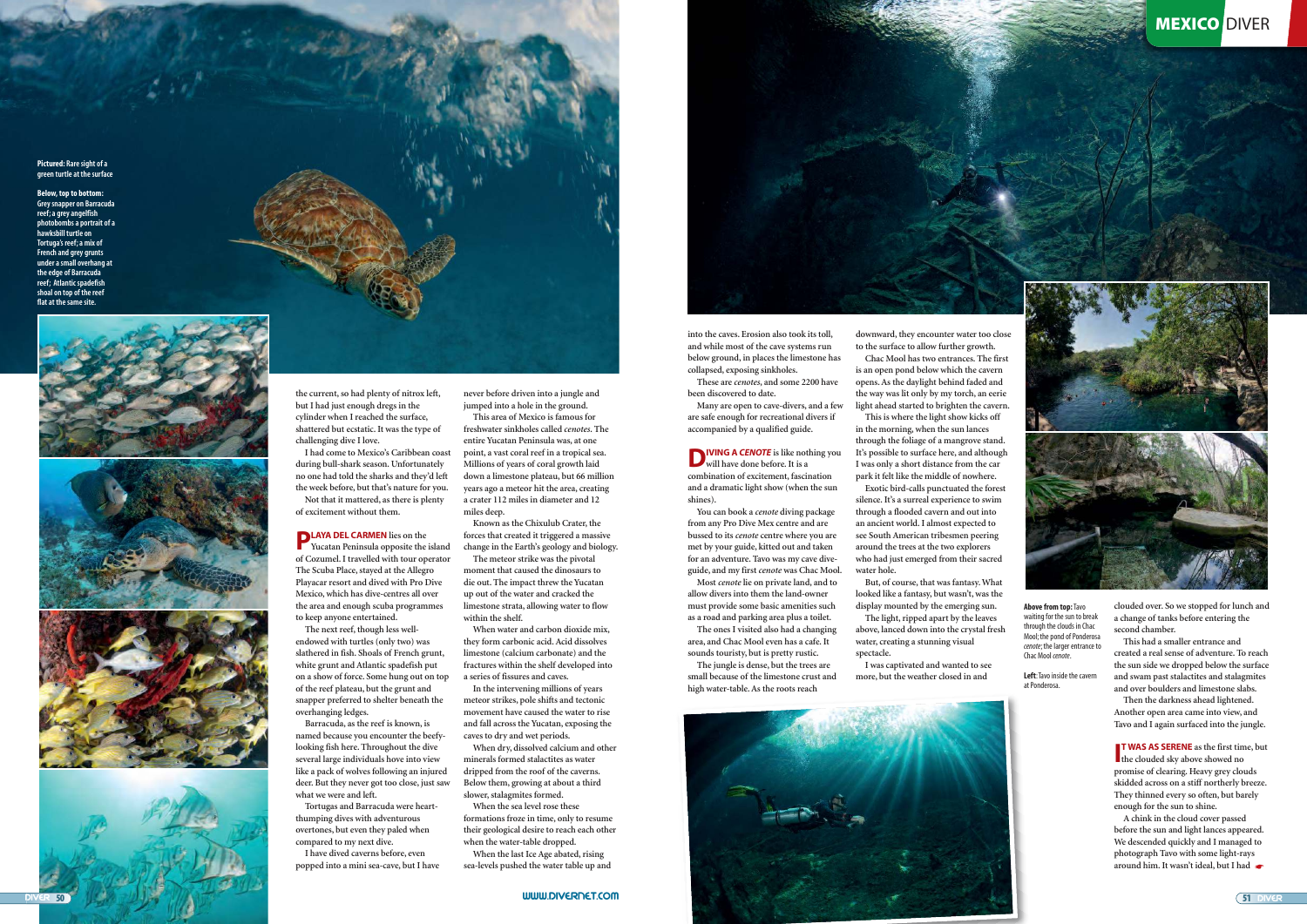**into the caves. Erosion also took its toll, and while most of the cave systems run below ground, in places the limestone has collapsed, exposing sinkholes.** 

**These are** *cenotes***, and some 2200 have been discovered to date.** 

**D IVING A CENOTE** is like nothing you **will have done before. It is a combination of excitement, fascination and a dramatic light show (when the sun shines).** 

**Many are open to cave-divers, and a few are safe enough for recreational divers if accompanied by a qualified guide.** 

**You can book a** *cenote* **diving package from any Pro Dive Mex centre and are bussed to its** *cenote* **centre where you are met by your guide, kitted out and taken for an adventure. Tavo was my cave diveguide, and my first** *cenote* **was Chac Mool.** 

**Most** *cenote* **lie on private land, and to allow divers into them the land-owner must provide some basic amenities such as a road and parking area plus a toilet.** 

**The ones I visited also had a changing area, and Chac Mool even has a cafe. It sounds touristy, but is pretty rustic.** 

**The jungle is dense, but the trees are small because of the limestone crust and high water-table. As the roots reach**



**Chac Mool has two entrances. The first is an open pond below which the cavern opens. As the daylight behind faded and the way was lit only by my torch, an eerie light ahead started to brighten the cavern.** 

> **I<sup>T</sup> WAS AS SERENE** as the first tin **T WAS AS SERENE as the first time, but promise of clearing. Heavy grey clouds skidded across on a stiff northerly breeze. They thinned every so often, but barely enough for the sun to shine.**

**This is where the light show kicks off in the morning, when the sun lances through the foliage of a mangrove stand. It's possible to surface here, and although I was only a short distance from the car park it felt like the middle of nowhere.** 

**Exotic bird-calls punctuated the forest silence. It's a surreal experience to swim through a flooded cavern and out into an ancient world. I almost expected to see South American tribesmen peering around the trees at the two explorers who had just emerged from their sacred water hole.** 

**PLAYA DEL CARMEN** lies on the Yucatan Peninsula opposite the **Yucatan Peninsula opposite the island of Cozumel. I travelled with tour operator The Scuba Place, stayed at the Allegro Playacar resort and dived with Pro Dive Mexico, which has dive-centres all over the area and enough scuba programmes to keep anyone entertained.**

**But, of course, that was fantasy. What looked like a fantasy, but wasn't, was the display mounted by the emerging sun. The light, ripped apart by the leaves**

**above, lanced down into the crystal fresh water, creating a stunning visual spectacle.** 

**I was captivated and wanted to see more, but the weather closed in and**



**clouded over. So we stopped for lunch and a change of tanks before entering the second chamber.** 

**This had a smaller entrance and created a real sense of adventure. To reach the sun side we dropped below the surface and swam past stalactites and stalagmites and over boulders and limestone slabs.** 

**Then the darkness ahead lightened. Another open area came into view, and Tavo and I again surfaced into the jungle.** 

**Above from top:** Tavo waiting for the sun to break through the clouds in Chac Mool; the pond of Ponderosa *cenote*; the larger entrance to Chac Mool *cenote*.

**Left**: Tavo inside the cavern at Ponderosa.

**www.divErNEt.com**



**the current, so had plenty of nitrox left, but I had just enough dregs in the cylinder when I reached the surface, shattered but ecstatic. It was the type of challenging dive I love.**

**I had come to Mexico's Caribbean coast during bull-shark season. Unfortunately no one had told the sharks and they'd left the week before, but that's nature for you. Not that it mattered, as there is plenty of excitement without them.** 

**The next reef, though less wellendowed with turtles (only two) was slathered in fish. Shoals of French grunt, white grunt and Atlantic spadefish put on a show of force. Some hung out on top of the reef plateau, but the grunt and snapper preferred to shelter beneath the overhanging ledges.**

**Barracuda, as the reef is known, is named because you encounter the beefylooking fish here. Throughout the dive several large individuals hove into view like a pack of wolves following an injured deer. But they never got too close, just saw what we were and left.** 

**Tortugas and Barracuda were heartthumping dives with adventurous overtones, but even they paled when compared to my next dive.** 

**I have dived caverns before, even popped into a mini sea-cave, but I have**

**A chink in the cloud cover passed before the sun and light lances appeared. We descended quickly and I managed to photograph Tavo with some light-rays around him. It wasn't ideal, but I had** ☛

**never before driven into a jungle and jumped into a hole in the ground.** 

**This area of Mexico is famous for freshwater sinkholes called** *cenotes***. The entire Yucatan Peninsula was, at one point, a vast coral reef in a tropical sea. Millions of years of coral growth laid down a limestone plateau, but 66 million years ago a meteor hit the area, creating a crater 112 miles in diameter and 12 miles deep.** 

**Known as the Chixulub Crater, the forces that created it triggered a massive change in the Earth's geology and biology.** 

**The meteor strike was the pivotal moment that caused the dinosaurs to die out. The impact threw the Yucatan up out of the water and cracked the limestone strata, allowing water to flow within the shelf.** 

**When water and carbon dioxide mix, they form carbonic acid. Acid dissolves limestone (calcium carbonate) and the fractures within the shelf developed into a series of fissures and caves.** 

**In the intervening millions of years meteor strikes, pole shifts and tectonic movement have caused the water to rise and fall across the Yucatan, exposing the caves to dry and wet periods.** 

**When dry, dissolved calcium and other minerals formed stalactites as water dripped from the roof of the caverns. Below them, growing at about a third slower, stalagmites formed.** 

**When the sea level rose these formations froze in time, only to resume their geological desire to reach each other when the water-table dropped.** 

**When the last Ice Age abated, rising sea-levels pushed the water table up and**

**Pictured: Rare sight of a green turtle at the surface**

**Below, top to bottom: Grey snapper on Barracuda reef; a grey angelfish photobombs a portrait of a hawksbill turtle on Tortuga's reef; a mix of French and grey grunts under a small overhang at the edge of Barracuda reef; Atlantic spadefish shoal on top of the reef flat at the same site.**







## **MEXICO DIVER**